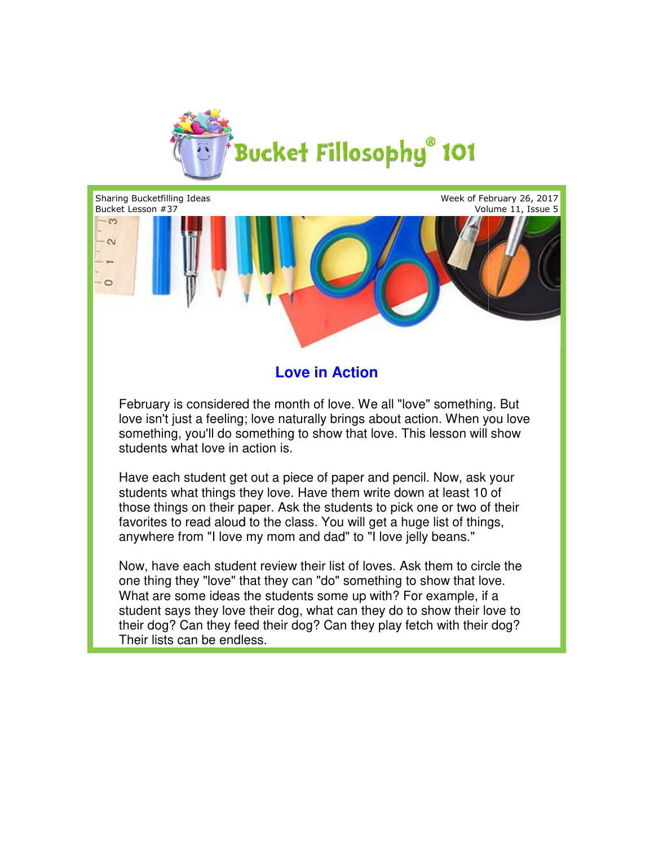

Sharing Bucketfilling Ideas Week of February 26, 2017 Bucket Lesson #37 Volume 11, Issue 5 the state of the most of the most of the state of the scan be endless.<br>
Something that they were all they were something. But<br>
yist a feeling; love naturally brings about action. When you love<br>
you'll do something to show  $-\infty$  $\sim$  $\circ$ 

## **Love in Action**

February is considered the month of love. We all "love" something. But love isn't just a feeling; love naturally brings about action. When you love something, you'll do something to show that love. This lesson will show students what love in action is. love isn't just a feeling; love naturally brings about action. When you lo<br>something, you'll do something to show that love. This lesson will show<br>students what love in action is.<br>Have each student get out a piece of paper

Have each student get out a piece of paper and pencil. Now, ask your students what things they love. Have them write down at least 10 of those things on their paper. Ask the students to pick one or two of their favorites to read aloud to the class. You will get a huge list of things, anywhere from "I love my mom and dad" to "I love jelly beans." things on their paper. Ask the students to pick one or two<br>es to read aloud to the class. You will get a huge list of thi<br>iere from "I love my mom and dad" to "I love jelly beans."

Now, have each student review their list of loves. Ask them to circle the one thing they "love" that they can "do" something to show that love. What are some ideas the students some up with? For example, if a student says they love their dog, what can they do to show their love to their dog? Can they feed their dog? Can they play fetch with their dog? Their lists can be endless.